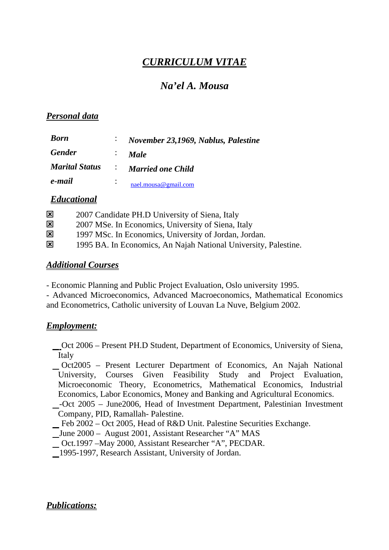# *CURRICULUM VITAE*

# *Na'el A. Mousa*

## *Personal data*

| <b>Born</b>           |                  | November 23,1969, Nablus, Palestine |
|-----------------------|------------------|-------------------------------------|
| <b>Gender</b>         | ÷.               | <b>Male</b>                         |
| <b>Marital Status</b> |                  | <i>i</i> Married one Child          |
| e-mail                | $\ddot{\bullet}$ | nael.mousa@gmail.com                |

## *Educational*

| $\mathbf{x}$ | 2007 Candidate PH.D University of Siena, Italy                  |
|--------------|-----------------------------------------------------------------|
| $\mathbf{x}$ | 2007 MSe. In Economics, University of Siena, Italy              |
| $\mathbf{x}$ | 1997 MSc. In Economics, University of Jordan, Jordan.           |
| $\mathbf{x}$ | 1995 BA. In Economics, An Najah National University, Palestine. |

#### *Additional Courses*

- Economic Planning and Public Project Evaluation, Oslo university 1995.

- Advanced Microeconomics, Advanced Macroeconomics, Mathematical Economics and Econometrics, Catholic university of Louvan La Nuve, Belgium 2002.

# *Employment:*

Oct 2006 – Present PH.D Student, Department of Economics, University of Siena, Italy

 Oct2005 – Present Lecturer Department of Economics, An Najah National University, Courses Given Feasibility Study and Project Evaluation, Microeconomic Theory, Econometrics, Mathematical Economics, Industrial Economics, Labor Economics, Money and Banking and Agricultural Economics.

- -Oct 2005 June2006, Head of Investment Department, Palestinian Investment Company, PID, Ramallah- Palestine.
- Feb 2002 Oct 2005, Head of R&D Unit. Palestine Securities Exchange.
- June 2000 August 2001, Assistant Researcher "A" MAS
- Oct.1997 –May 2000, Assistant Researcher "A", PECDAR.
- 1995-1997, Research Assistant, University of Jordan.

#### *Publications:*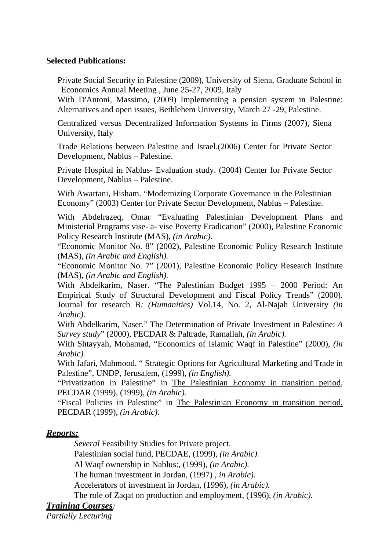#### **Selected Publications:**

Private Social Security in Palestine (2009), University of Siena, Graduate School in Economics Annual Meeting , June 25-27, 2009, Italy

With D'Antoni, Massimo, (2009) Implementing a pension system in Palestine: Alternatives and open issues, Bethlehem University, March 27 -29, Palestine.

Centralized versus Decentralized Information Systems in Firms (2007), Siena University, Italy

Trade Relations between Palestine and Israel.(2006) Center for Private Sector Development, Nablus – Palestine.

Private Hospital in Nablus- Evaluation study. (2004) Center for Private Sector Development, Nablus – Palestine.

With Awartani, Hisham. "Modernizing Corporate Governance in the Palestinian Economy" (2003) Center for Private Sector Development, Nablus – Palestine.

With Abdelrazeq, Omar "Evaluating Palestinian Development Plans and Ministerial Programs vise- a- vise Poverty Eradication" (2000), Palestine Economic Policy Research Institute (MAS), *(in Arabic).*

"Economic Monitor No. 8" (2002), Palestine Economic Policy Research Institute (MAS), *(in Arabic and English).* 

"Economic Monitor No. 7" (2001), Palestine Economic Policy Research Institute (MAS), *(in Arabic and English).* 

With Abdelkarim, Naser. "The Palestinian Budget 1995 – 2000 Period: An Empirical Study of Structural Development and Fiscal Policy Trends" (2000). Journal for research B*: (Humanities)* Vol.14, No. 2, Al-Najah University *(in Arabic).* 

With Abdelkarim, Naser." The Determination of Private Investment in Palestine: *A Survey study*" (2000), PECDAR & Paltrade, Ramallah, *(in Arabic).* 

With Shtayyah, Mohamad, "Economics of Islamic Waqf in Palestine" (2000), *(in Arabic).* 

With Jafari, Mahmood. " Strategic Options for Agricultural Marketing and Trade in Palestine", UNDP, Jerusalem, (1999), *(in English).* 

"Privatization in Palestine" in The Palestinian Economy in transition period, PECDAR (1999), (1999), *(in Arabic).* 

"Fiscal Policies in Palestine" in The Palestinian Economy in transition period, PECDAR (1999), *(in Arabic).* 

# *Reports:*

*Several* Feasibility Studies for Private project.

Palestinian social fund, PECDAE, (1999), *(in Arabic).* 

Al Waqf ownership in Nablus:, (1999), *(in Arabic).* 

The human investment in Jordan, (1997) *, in Arabic).* 

Accelerators of investment in Jordan, (1996), *(in Arabic).* 

The role of Zaqat on production and employment, (1996), *(in Arabic).* 

# *Training Courses:*

*Partially Lecturing*